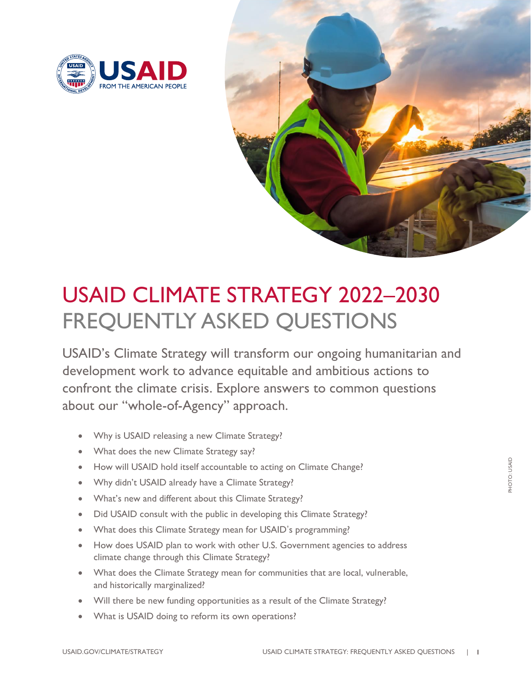



# USAID CLIMATE STRATEGY 2022–2030 FREQUENTLY ASKED QUESTIONS

USAID's Climate Strategy will transform our ongoing humanitarian and development work to advance equitable and ambitious actions to confront the climate crisis. Explore answers to common questions about our "whole-of-Agency" approach.

- [Why is USAID releasing a new Climate Strategy?](#page-1-0)
- [What does the new Climate Strategy say?](#page-1-1)
- [How will USAID hold itself accountable to acting on Climate Change?](#page-2-0)
- [Why didn't USAID already have a Climate Strategy?](#page-3-0)
- [What's new and different about this Climate Strate](#page-3-1)gy?
- [Did USAID consult with the public in developing this Climate Strategy?](#page-3-2)
- [What does this Climate Strategy mean for USAID](#page-3-3)'s programming?
- [How does USAID plan to work with other U.S. Government agencies to address](#page-4-0)  [climate change through this Climate Strategy?](#page-4-0)
- [What does the Climate Strategy mean for communities that are local, vulnerable,](#page-4-1)  [and historically marginalized?](#page-4-1)
- [Will there be new funding opportunities as a result of the Climate Strategy?](#page-4-2)
- [What is USAID doing to reform its own operations?](#page-5-0)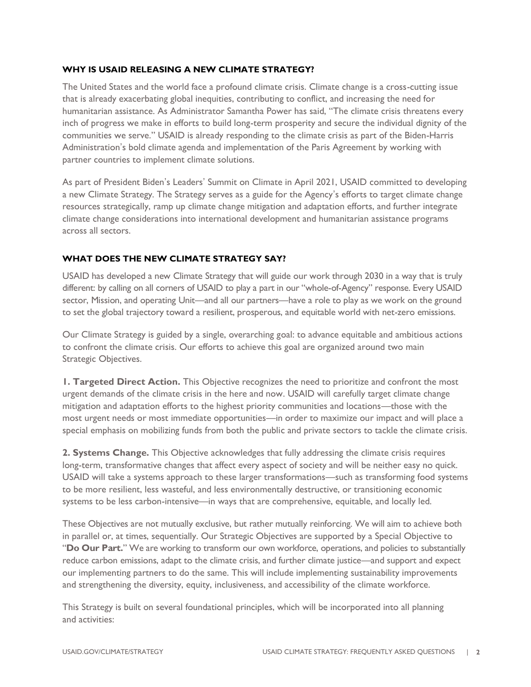## <span id="page-1-0"></span>**WHY IS USAID RELEASING A NEW CLIMATE STRATEGY?**

The United States and the world face a profound climate crisis. Climate change is a cross-cutting issue that is already exacerbating global inequities, contributing to conflict, and increasing the need for humanitarian assistance. As Administrator Samantha Power has said, "The climate crisis threatens every inch of progress we make in efforts to build long-term prosperity and secure the individual dignity of the communities we serve." USAID is already responding to the climate crisis as part of the Biden-Harris Administration's bold climate agenda and implementation of the Paris Agreement by working with partner countries to implement climate solutions.

As part of President Biden's Leaders' Summit on Climate in April 2021, USAID committed to developing a new Climate Strategy. The Strategy serves as a guide for the Agency's efforts to target climate change resources strategically, ramp up climate change mitigation and adaptation efforts, and further integrate climate change considerations into international development and humanitarian assistance programs across all sectors.

# <span id="page-1-1"></span>**WHAT DOES THE NEW CLIMATE STRATEGY SAY?**

USAID has developed a new Climate Strategy that will guide our work through 2030 in a way that is truly different: by calling on all corners of USAID to play a part in our "whole-of-Agency" response. Every USAID sector, Mission, and operating Unit—and all our partners—have a role to play as we work on the ground to set the global trajectory toward a resilient, prosperous, and equitable world with net-zero emissions.

Our Climate Strategy is guided by a single, overarching goal: to advance equitable and ambitious actions to confront the climate crisis. Our efforts to achieve this goal are organized around two main Strategic Objectives.

**1. Targeted Direct Action.** This Objective recognizes the need to prioritize and confront the most urgent demands of the climate crisis in the here and now. USAID will carefully target climate change mitigation and adaptation efforts to the highest priority communities and locations—those with the most urgent needs or most immediate opportunities—in order to maximize our impact and will place a special emphasis on mobilizing funds from both the public and private sectors to tackle the climate crisis.

**2. Systems Change.** This Objective acknowledges that fully addressing the climate crisis requires long-term, transformative changes that affect every aspect of society and will be neither easy no quick. USAID will take a systems approach to these larger transformations—such as transforming food systems to be more resilient, less wasteful, and less environmentally destructive, or transitioning economic systems to be less carbon-intensive—in ways that are comprehensive, equitable, and locally led.

These Objectives are not mutually exclusive, but rather mutually reinforcing. We will aim to achieve both in parallel or, at times, sequentially. Our Strategic Objectives are supported by a Special Objective to "**Do Our Part.**" We are working to transform our own workforce, operations, and policies to substantially reduce carbon emissions, adapt to the climate crisis, and further climate justice—and support and expect our implementing partners to do the same. This will include implementing sustainability improvements and strengthening the diversity, equity, inclusiveness, and accessibility of the climate workforce.

This Strategy is built on several foundational principles, which will be incorporated into all planning and activities: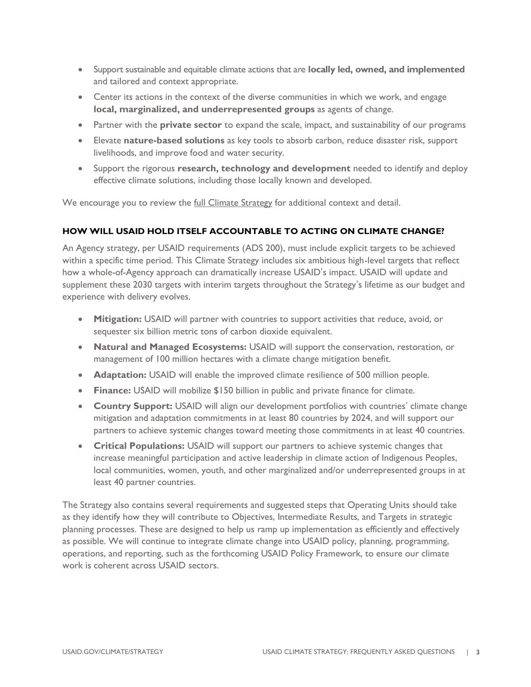- Support sustainable and equitable climate actions that are **locally led, owned, and implemented** and tailored and context appropriate.
- Center its actions in the context of the diverse communities in which we work, and engage **local, marginalized, and underrepresented groups** as agents of change.
- Partner with the **private sector** to expand the scale, impact, and sustainability of our programs
- Elevate **nature-based solutions** as key tools to absorb carbon, reduce disaster risk, support livelihoods, and improve food and water security.
- Support the rigorous **research, technology and development** needed to identify and deploy effective climate solutions, including those locally known and developed.

We encourage you to review the full Climate [Strategy](https://www.usaid.gov/climate/strategy) for additional context and detail.

# <span id="page-2-0"></span>**HOW WILL USAID HOLD ITSELF ACCOUNTABLE TO ACTING ON CLIMATE CHANGE?**

An Agency strategy, per USAID requirements (ADS 200), must include explicit targets to be achieved within a specific time period. This Climate Strategy includes six ambitious high-level targets that reflect how a whole-of-Agency approach can dramatically increase USAID's impact. USAID will update and supplement these 2030 targets with interim targets throughout the Strategy's lifetime as our budget and experience with delivery evolves.

- **Mitigation:** USAID will partner with countries to support activities that reduce, avoid, or sequester six billion metric tons of carbon dioxide equivalent.
- **Natural and Managed Ecosystems:** USAID will support the conservation, restoration, or management of 100 million hectares with a climate change mitigation benefit.
- **Adaptation:** USAID will enable the improved climate resilience of 500 million people.
- **Finance:** USAID will mobilize \$150 billion in public and private finance for climate.
- **Country Support:** USAID will align our development portfolios with countries' climate change mitigation and adaptation commitments in at least 80 countries by 2024, and will support our partners to achieve systemic changes toward meeting those commitments in at least 40 countries.
- **Critical Populations:** USAID will support our partners to achieve systemic changes that increase meaningful participation and active leadership in climate action of Indigenous Peoples, local communities, women, youth, and other marginalized and/or underrepresented groups in at least 40 partner countries.

The Strategy also contains several requirements and suggested steps that Operating Units should take as they identify how they will contribute to Objectives, Intermediate Results, and Targets in strategic planning processes. These are designed to help us ramp up implementation as efficiently and effectively as possible. We will continue to integrate climate change into USAID policy, planning, programming, operations, and reporting, such as the forthcoming USAID Policy Framework, to ensure our climate work is coherent across USAID sectors.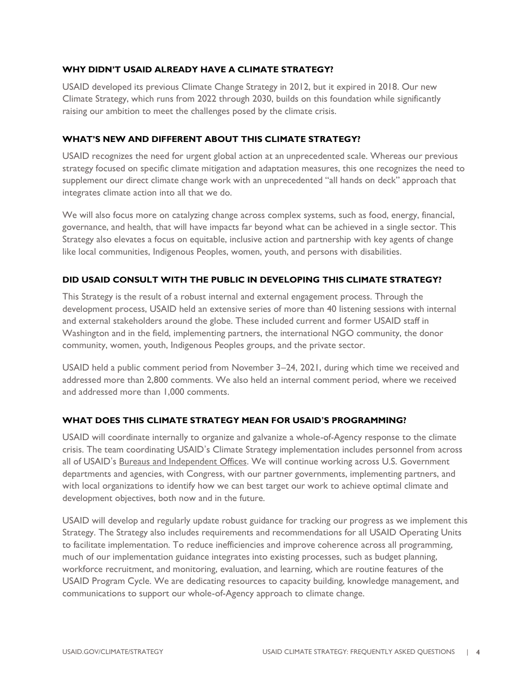## <span id="page-3-0"></span>**WHY DIDN'T USAID ALREADY HAVE A CLIMATE STRATEGY?**

USAID developed its previous Climate Change Strategy in 2012, but it expired in 2018. Our new Climate Strategy, which runs from 2022 through 2030, builds on this foundation while significantly raising our ambition to meet the challenges posed by the climate crisis.

### <span id="page-3-1"></span>**WHAT'S NEW AND DIFFERENT ABOUT THIS CLIMATE STRATEGY?**

USAID recognizes the need for urgent global action at an unprecedented scale. Whereas our previous strategy focused on specific climate mitigation and adaptation measures, this one recognizes the need to supplement our direct climate change work with an unprecedented "all hands on deck" approach that integrates climate action into all that we do.

We will also focus more on catalyzing change across complex systems, such as food, energy, financial, governance, and health, that will have impacts far beyond what can be achieved in a single sector. This Strategy also elevates a focus on equitable, inclusive action and partnership with key agents of change like local communities, Indigenous Peoples, women, youth, and persons with disabilities.

#### <span id="page-3-2"></span>**DID USAID CONSULT WITH THE PUBLIC IN DEVELOPING THIS CLIMATE STRATEGY?**

This Strategy is the result of a robust internal and external engagement process. Through the development process, USAID held an extensive series of more than 40 listening sessions with internal and external stakeholders around the globe. These included current and former USAID staff in Washington and in the field, implementing partners, the international NGO community, the donor community, women, youth, Indigenous Peoples groups, and the private sector.

USAID held a public comment period from November 3–24, 2021, during which time we received and addressed more than 2,800 comments. We also held an internal comment period, where we received and addressed more than 1,000 comments.

## <span id="page-3-3"></span>**WHAT DOES THIS CLIMATE STRATEGY MEAN FOR USAID'S PROGRAMMING?**

USAID will coordinate internally to organize and galvanize a whole-of-Agency response to the climate crisis. The team coordinating USAID's Climate Strategy implementation includes personnel from across all of USAID's Bureaus and [Independent](https://www.usaid.gov/who-we-are/organization/bureaus) Offices. We will continue working across U.S. Government departments and agencies, with Congress, with our partner governments, implementing partners, and with local organizations to identify how we can best target our work to achieve optimal climate and development objectives, both now and in the future.

USAID will develop and regularly update robust guidance for tracking our progress as we implement this Strategy. The Strategy also includes requirements and recommendations for all USAID Operating Units to facilitate implementation. To reduce inefficiencies and improve coherence across all programming, much of our implementation guidance integrates into existing processes, such as budget planning, workforce recruitment, and monitoring, evaluation, and learning, which are routine features of the USAID Program Cycle. We are dedicating resources to capacity building, knowledge management, and communications to support our whole-of-Agency approach to climate change.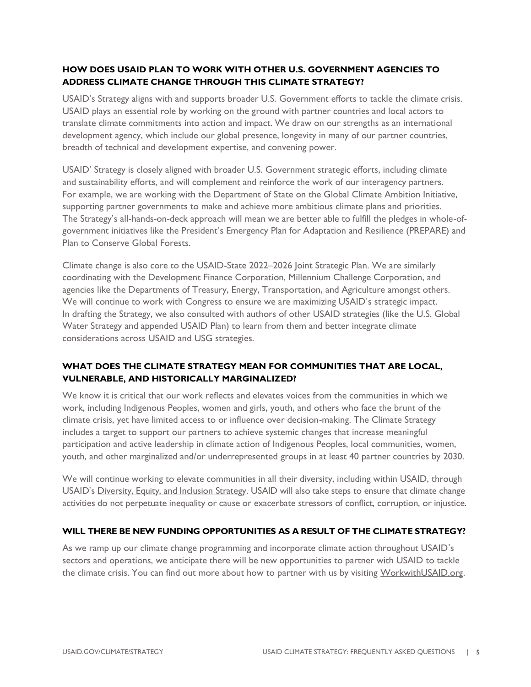## <span id="page-4-0"></span>**HOW DOES USAID PLAN TO WORK WITH OTHER U.S. GOVERNMENT AGENCIES TO ADDRESS CLIMATE CHANGE THROUGH THIS CLIMATE STRATEGY?**

USAID's Strategy aligns with and supports broader U.S. Government efforts to tackle the climate crisis. USAID plays an essential role by working on the ground with partner countries and local actors to translate climate commitments into action and impact. We draw on our strengths as an international development agency, which include our global presence, longevity in many of our partner countries, breadth of technical and development expertise, and convening power.

USAID' Strategy is closely aligned with broader U.S. Government strategic efforts, including climate and sustainability efforts, and will complement and reinforce the work of our interagency partners. For example, we are working with the Department of State on the Global Climate Ambition Initiative, supporting partner governments to make and achieve more ambitious climate plans and priorities. The Strategy's all-hands-on-deck approach will mean we are better able to fulfill the pledges in whole-ofgovernment initiatives like the President's Emergency Plan for Adaptation and Resilience (PREPARE) and Plan to Conserve Global Forests.

Climate change is also core to the USAID-State 2022–2026 Joint Strategic Plan. We are similarly coordinating with the Development Finance Corporation, Millennium Challenge Corporation, and agencies like the Departments of Treasury, Energy, Transportation, and Agriculture amongst others. We will continue to work with Congress to ensure we are maximizing USAID's strategic impact. In drafting the Strategy, we also consulted with authors of other USAID strategies (like the U.S. Global Water Strategy and appended USAID Plan) to learn from them and better integrate climate considerations across USAID and USG strategies.

# <span id="page-4-1"></span>**WHAT DOES THE CLIMATE STRATEGY MEAN FOR COMMUNITIES THAT ARE LOCAL, VULNERABLE, AND HISTORICALLY MARGINALIZED?**

We know it is critical that our work reflects and elevates voices from the communities in which we work, including Indigenous Peoples, women and girls, youth, and others who face the brunt of the climate crisis, yet have limited access to or influence over decision-making. The Climate Strategy includes a target to support our partners to achieve systemic changes that increase meaningful participation and active leadership in climate action of Indigenous Peoples, local communities, women, youth, and other marginalized and/or underrepresented groups in at least 40 partner countries by 2030.

We will continue working to elevate communities in all their diversity, including within USAID, through USAID's [Diversity, Equity, and Inclusion Strategy.](https://www.usaid.gov/who-we-are/diversity-equity-inclusion) USAID will also take steps to ensure that climate change activities do not perpetuate inequality or cause or exacerbate stressors of conflict, corruption, or injustice.

## <span id="page-4-2"></span>**WILL THERE BE NEW FUNDING OPPORTUNITIES AS A RESULT OF THE CLIMATE STRATEGY?**

As we ramp up our climate change programming and incorporate climate action throughout USAID's sectors and operations, we anticipate there will be new opportunities to partner with USAID to tackle the climate crisis. You can find out more about how to partner with us by visiting [WorkwithUSAID.org.](https://www.workwithusaid.org/)